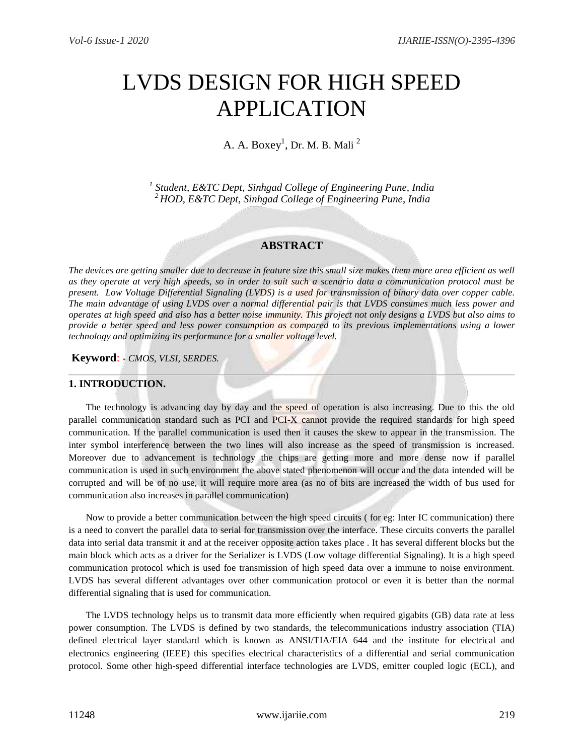# LVDS DESIGN FOR HIGH SPEED APPLICATION

A. A.  $\mathrm{Box} \mathrm{y}^1$ , Dr. M. B. Mali  $^2$ 

*1 Student, E&TC Dept, Sinhgad College of Engineering Pune, India <sup>2</sup>HOD, E&TC Dept, Sinhgad College of Engineering Pune, India* 

## **ABSTRACT**

*The devices are getting smaller due to decrease in feature size this small size makes them more area efficient as well as they operate at very high speeds, so in order to suit such a scenario data a communication protocol must be present. Low Voltage Differential Signaling (LVDS) is a used for transmission of binary data over copper cable. The main advantage of using LVDS over a normal differential pair is that LVDS consumes much less power and operates at high speed and also has a better noise immunity. This project not only designs a LVDS but also aims to provide a better speed and less power consumption as compared to its previous implementations using a lower technology and optimizing its performance for a smaller voltage level.*

**Keyword**: **-** *CMOS, VLSI, SERDES.*

## **1. INTRODUCTION.**

The technology is advancing day by day and the speed of operation is also increasing. Due to this the old parallel communication standard such as PCI and PCI-X cannot provide the required standards for high speed communication. If the parallel communication is used then it causes the skew to appear in the transmission. The inter symbol interference between the two lines will also increase as the speed of transmission is increased. Moreover due to advancement is technology the chips are getting more and more dense now if parallel communication is used in such environment the above stated phenomenon will occur and the data intended will be corrupted and will be of no use, it will require more area (as no of bits are increased the width of bus used for communication also increases in parallel communication)

Now to provide a better communication between the high speed circuits ( for eg: Inter IC communication) there is a need to convert the parallel data to serial for transmission over the interface. These circuits converts the parallel data into serial data transmit it and at the receiver opposite action takes place . It has several different blocks but the main block which acts as a driver for the Serializer is LVDS (Low voltage differential Signaling). It is a high speed communication protocol which is used foe transmission of high speed data over a immune to noise environment. LVDS has several different advantages over other communication protocol or even it is better than the normal differential signaling that is used for communication.

The LVDS technology helps us to transmit data more efficiently when required gigabits (GB) data rate at less power consumption. The LVDS is defined by two standards, the telecommunications industry association (TIA) defined electrical layer standard which is known as ANSI/TIA/EIA 644 and the institute for electrical and electronics engineering (IEEE) this specifies electrical characteristics of a differential and serial communication protocol. Some other high-speed differential interface technologies are LVDS, emitter coupled logic (ECL), and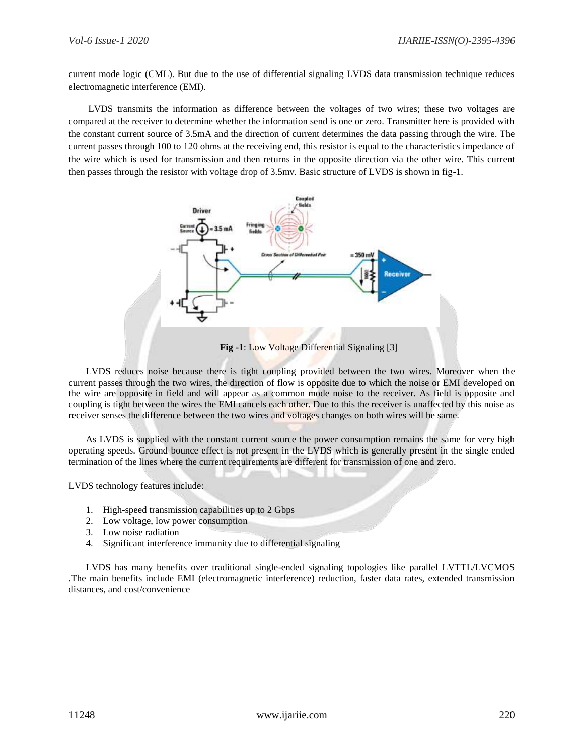current mode logic (CML). But due to the use of differential signaling LVDS data transmission technique reduces electromagnetic interference (EMI).

LVDS transmits the information as difference between the voltages of two wires; these two voltages are compared at the receiver to determine whether the information send is one or zero. Transmitter here is provided with the constant current source of 3.5mA and the direction of current determines the data passing through the wire. The current passes through 100 to 120 ohms at the receiving end, this resistor is equal to the characteristics impedance of the wire which is used for transmission and then returns in the opposite direction via the other wire. This current then passes through the resistor with voltage drop of 3.5mv. Basic structure of LVDS is shown in fig-1.



**Fig -1**: Low Voltage Differential Signaling [3]

LVDS reduces noise because there is tight coupling provided between the two wires. Moreover when the current passes through the two wires, the direction of flow is opposite due to which the noise or EMI developed on the wire are opposite in field and will appear as a common mode noise to the receiver. As field is opposite and coupling is tight between the wires the EMI cancels each other. Due to this the receiver is unaffected by this noise as receiver senses the difference between the two wires and voltages changes on both wires will be same.

As LVDS is supplied with the constant current source the power consumption remains the same for very high operating speeds. Ground bounce effect is not present in the LVDS which is generally present in the single ended termination of the lines where the current requirements are different for transmission of one and zero.

LVDS technology features include:

- 1. High-speed transmission capabilities up to 2 Gbps
- 2. Low voltage, low power consumption
- 3. Low noise radiation
- 4. Significant interference immunity due to differential signaling

LVDS has many benefits over traditional single-ended signaling topologies like parallel LVTTL/LVCMOS .The main benefits include EMI (electromagnetic interference) reduction, faster data rates, extended transmission distances, and cost/convenience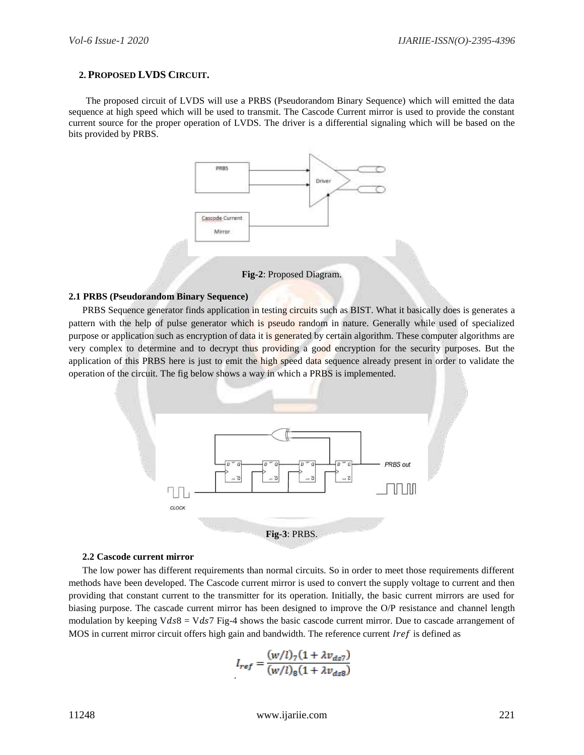## **2. PROPOSED LVDS CIRCUIT.**

The proposed circuit of LVDS will use a PRBS (Pseudorandom Binary Sequence) which will emitted the data sequence at high speed which will be used to transmit. The Cascode Current mirror is used to provide the constant current source for the proper operation of LVDS. The driver is a differential signaling which will be based on the bits provided by PRBS.



**Fig-2**: Proposed Diagram.

#### **2.1 PRBS (Pseudorandom Binary Sequence)**

PRBS Sequence generator finds application in testing circuits such as BIST. What it basically does is generates a pattern with the help of pulse generator which is pseudo random in nature. Generally while used of specialized purpose or application such as encryption of data it is generated by certain algorithm. These computer algorithms are very complex to determine and to decrypt thus providing a good encryption for the security purposes. But the application of this PRBS here is just to emit the high speed data sequence already present in order to validate the operation of the circuit. The fig below shows a way in which a PRBS is implemented.



#### **2.2 Cascode current mirror**

The low power has different requirements than normal circuits. So in order to meet those requirements different methods have been developed. The Cascode current mirror is used to convert the supply voltage to current and then providing that constant current to the transmitter for its operation. Initially, the basic current mirrors are used for biasing purpose. The cascade current mirror has been designed to improve the O/P resistance and channel length modulation by keeping V $ds8 = Vds7$  Fig-4 shows the basic cascode current mirror. Due to cascade arrangement of MOS in current mirror circuit offers high gain and bandwidth. The reference current  $Iref$  is defined as

$$
I_{ref} = \frac{(w/l)_{7} (1 + \lambda v_{ds7})}{(w/l)_{8} (1 + \lambda v_{ds8})}
$$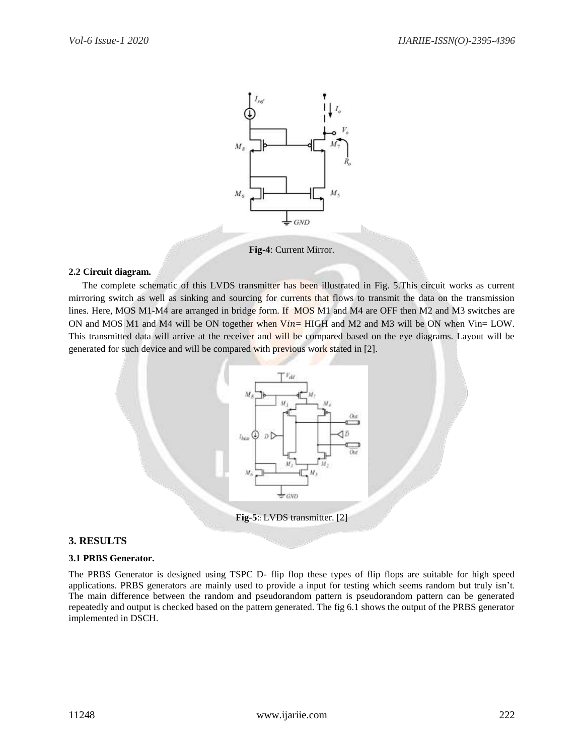

**Fig-4**: Current Mirror.

## **2.2 Circuit diagram.**

The complete schematic of this LVDS transmitter has been illustrated in Fig. 5.This circuit works as current mirroring switch as well as sinking and sourcing for currents that flows to transmit the data on the transmission lines. Here, MOS M1-M4 are arranged in bridge form. If MOS M1 and M4 are OFF then M2 and M3 switches are ON and MOS M1 and M4 will be ON together when  $Vin=$  HIGH and M2 and M3 will be ON when Vin= LOW. This transmitted data will arrive at the receiver and will be compared based on the eye diagrams. Layout will be generated for such device and will be compared with previous work stated in [2].



# **3. RESULTS**

## **3.1 PRBS Generator.**

The PRBS Generator is designed using TSPC D- flip flop these types of flip flops are suitable for high speed applications. PRBS generators are mainly used to provide a input for testing which seems random but truly isn't. The main difference between the random and pseudorandom pattern is pseudorandom pattern can be generated repeatedly and output is checked based on the pattern generated. The fig 6.1 shows the output of the PRBS generator implemented in DSCH.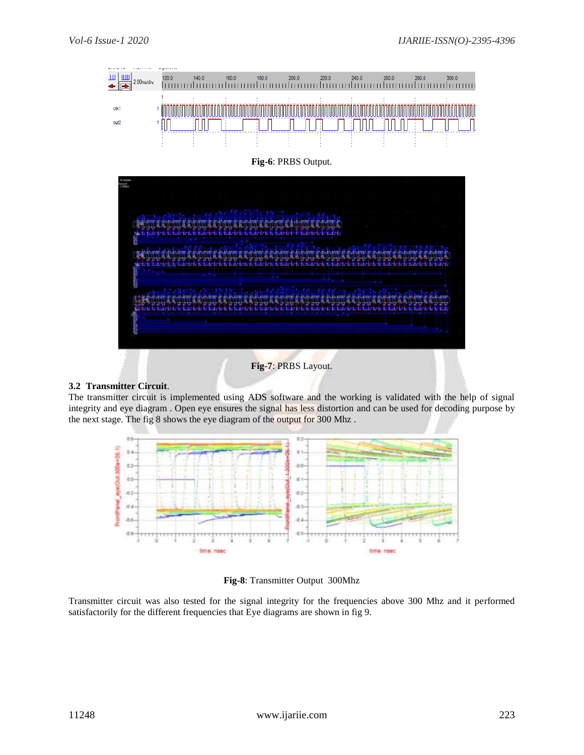

# **Fig-7**: PRBS Layout.

## **3.2 Transmitter Circuit**.

The transmitter circuit is implemented using ADS software and the working is validated with the help of signal integrity and eye diagram . Open eye ensures the signal has less distortion and can be used for decoding purpose by the next stage. The fig 8 shows the eye diagram of the output for 300 Mhz .



#### **Fig-8**: Transmitter Output 300Mhz

Transmitter circuit was also tested for the signal integrity for the frequencies above 300 Mhz and it performed satisfactorily for the different frequencies that Eye diagrams are shown in fig 9.